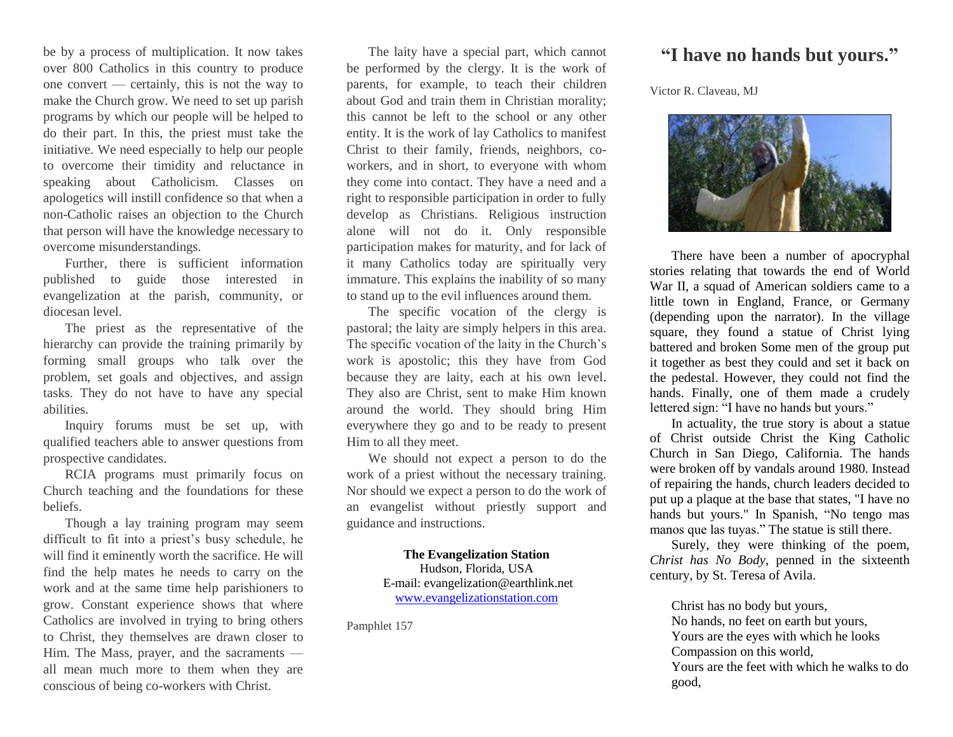be by a process of multiplication. It now takes over 800 Catholics in this country to produce one convert — certainly, this is not the way to make the Church grow. We need to set up parish programs by which our people will be helped to do their part. In this, the priest must take the initiative. We need especially to help our people to overcome their timidity and reluctance in speaking about Catholicism. Classes on apologetics will instill confidence so that when a non-Catholic raises an objection to the Church that person will have the knowledge necessary to overcome misunderstandings.

Further, there is sufficient information published to guide those interested in evangelization at the parish, community, or diocesan level.

The priest as the representative of the hierarchy can provide the training primarily by forming small groups who talk over the problem, set goals and objectives, and assign tasks. They do not have to have any special abilities.

Inquiry forums must be set up, with qualified teachers able to answer questions from prospective candidates.

RCIA programs must primarily focus on Church teaching and the foundations for these beliefs.

Though a lay training program may seem difficult to fit into a priest's busy schedule, he will find it eminently worth the sacrifice. He will find the help mates he needs to carry on the work and at the same time help parishioners to grow. Constant experience shows that where Catholics are involved in trying to bring others to Christ, they themselves are drawn closer to Him. The Mass, prayer, and the sacraments all mean much more to them when they are conscious of being co-workers with Christ.

The laity have a special part, which cannot be performed by the clergy. It is the work of parents, for example, to teach their children about God and train them in Christian morality; this cannot be left to the school or any other entity. It is the work of lay Catholics to manifest Christ to their family, friends, neighbors, coworkers, and in short, to everyone with whom they come into contact. They have a need and a right to responsible participation in order to fully develop as Christians. Religious instruction alone will not do it. Only responsible participation makes for maturity, and for lack of it many Catholics today are spiritually very immature. This explains the inability of so many to stand up to the evil influences around them.

The specific vocation of the clergy is pastoral; the laity are simply helpers in this area. The specific vocation of the laity in the Church's work is apostolic; this they have from God because they are laity, each at his own level. They also are Christ, sent to make Him known around the world. They should bring Him everywhere they go and to be ready to present Him to all they meet.

We should not expect a person to do the work of a priest without the necessary training. Nor should we expect a person to do the work of an evangelist without priestly support and guidance and instructions.

> **The Evangelization Station** Hudson, Florida, USA E-mail: evangelization@earthlink.net [www.evangelizationstation.com](http://www.pjpiisoe.org/)

Pamphlet 157

## **"I have no hands but yours."**

Victor R. Claveau, MJ



There have been a number of apocryphal stories relating that towards the end of World War II, a squad of American soldiers came to a little town in England, France, or Germany (depending upon the narrator). In the village square, they found a statue of Christ lying battered and broken Some men of the group put it together as best they could and set it back on the pedestal. However, they could not find the hands. Finally, one of them made a crudely lettered sign: "I have no hands but yours."

In actuality, the true story is about a statue of Christ outside Christ the King Catholic Church in San Diego, California. The hands were broken off by vandals around 1980. Instead of repairing the hands, church leaders decided to put up a plaque at the base that states, "I have no hands but yours." In Spanish, "No tengo mas manos que las tuyas." The statue is still there.

Surely, they were thinking of the poem, *Christ has No Body*, penned in the sixteenth century, by St. Teresa of Avila.

Christ has no body but yours, No hands, no feet on earth but yours, Yours are the eyes with which he looks Compassion on this world, Yours are the feet with which he walks to do good,